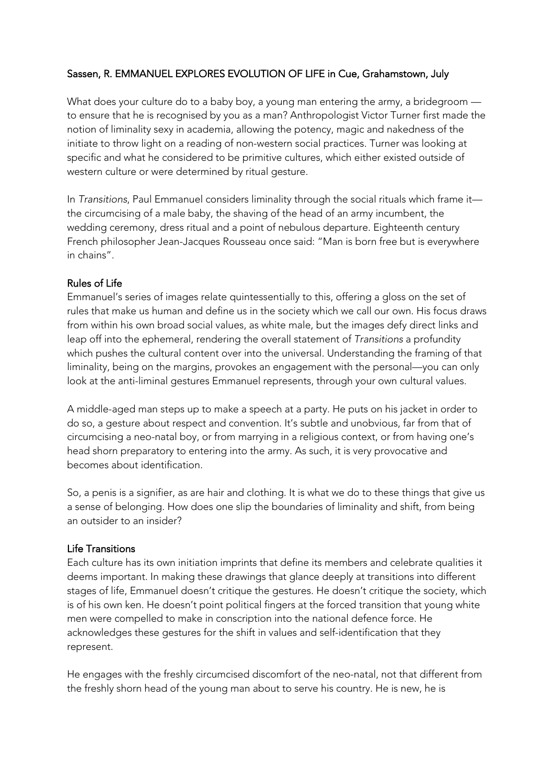## Sassen, R. EMMANUEL EXPLORES EVOLUTION OF LIFE in Cue, Grahamstown, July

What does your culture do to a baby boy, a young man entering the army, a bridegroom to ensure that he is recognised by you as a man? Anthropologist Victor Turner first made the notion of liminality sexy in academia, allowing the potency, magic and nakedness of the initiate to throw light on a reading of non-western social practices. Turner was looking at specific and what he considered to be primitive cultures, which either existed outside of western culture or were determined by ritual gesture.

In *Transitions*, Paul Emmanuel considers liminality through the social rituals which frame it the circumcising of a male baby, the shaving of the head of an army incumbent, the wedding ceremony, dress ritual and a point of nebulous departure. Eighteenth century French philosopher Jean-Jacques Rousseau once said: "Man is born free but is everywhere in chains".

## Rules of Life

Emmanuel's series of images relate quintessentially to this, offering a gloss on the set of rules that make us human and define us in the society which we call our own. His focus draws from within his own broad social values, as white male, but the images defy direct links and leap off into the ephemeral, rendering the overall statement of *Transitions* a profundity which pushes the cultural content over into the universal. Understanding the framing of that liminality, being on the margins, provokes an engagement with the personal—you can only look at the anti-liminal gestures Emmanuel represents, through your own cultural values.

A middle-aged man steps up to make a speech at a party. He puts on his jacket in order to do so, a gesture about respect and convention. It's subtle and unobvious, far from that of circumcising a neo-natal boy, or from marrying in a religious context, or from having one's head shorn preparatory to entering into the army. As such, it is very provocative and becomes about identification.

So, a penis is a signifier, as are hair and clothing. It is what we do to these things that give us a sense of belonging. How does one slip the boundaries of liminality and shift, from being an outsider to an insider?

## Life Transitions

Each culture has its own initiation imprints that define its members and celebrate qualities it deems important. In making these drawings that glance deeply at transitions into different stages of life, Emmanuel doesn't critique the gestures. He doesn't critique the society, which is of his own ken. He doesn't point political fingers at the forced transition that young white men were compelled to make in conscription into the national defence force. He acknowledges these gestures for the shift in values and self-identification that they represent.

He engages with the freshly circumcised discomfort of the neo-natal, not that different from the freshly shorn head of the young man about to serve his country. He is new, he is